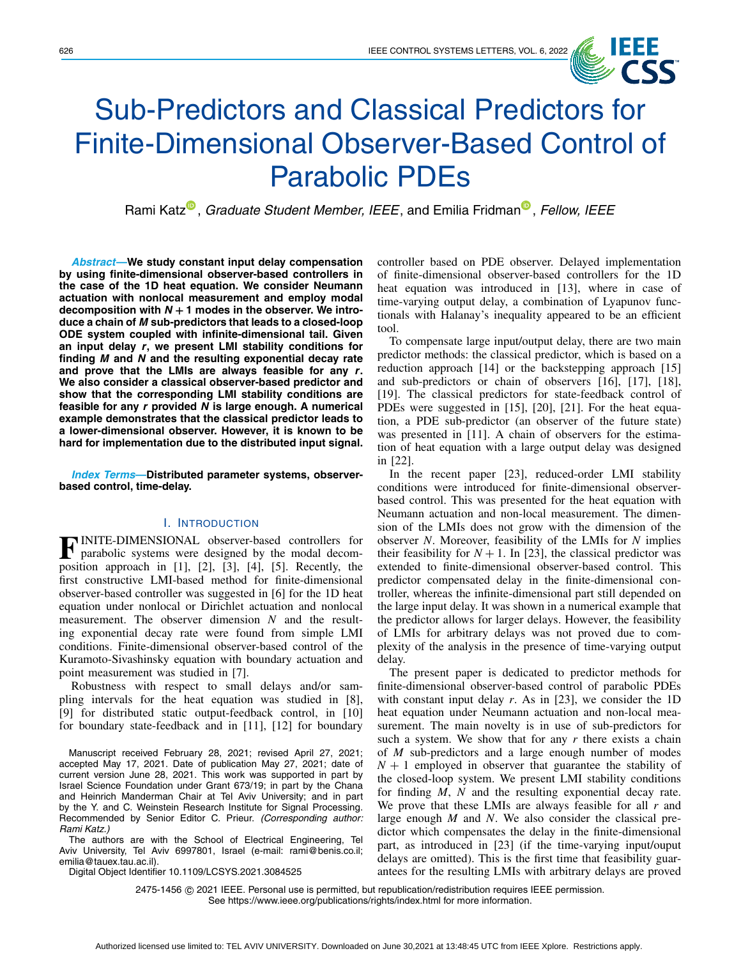

# Sub-Predictors and Classical Predictors for Finite-Dimensional Observer-Based Control of Parabolic PDEs

Rami Katz<sup>®</sup>[,](https://orcid.org/0000-0002-8773-9494) *Graduate Student Member, IEEE*, and Emilia Fridman<sup>®</sup>, *Fellow, IEEE* 

*Abstract***—We study constant input delay compensation by using finite-dimensional observer-based controllers in the case of the 1D heat equation. We consider Neumann actuation with nonlocal measurement and employ modal** decomposition with  $N + 1$  modes in the observer. We intro**duce a chain of** *M* **sub-predictors that leads to a closed-loop ODE system coupled with infinite-dimensional tail. Given an input delay** *r***, we present LMI stability conditions for finding** *M* **and** *N* **and the resulting exponential decay rate and prove that the LMIs are always feasible for any** *r***. We also consider a classical observer-based predictor and show that the corresponding LMI stability conditions are feasible for any** *r* **provided** *N* **is large enough. A numerical example demonstrates that the classical predictor leads to a lower-dimensional observer. However, it is known to be hard for implementation due to the distributed input signal.**

*Index Terms***—Distributed parameter systems, observerbased control, time-delay.**

## I. INTRODUCTION

**F**INITE-DIMENSIONAL observer-based controllers for parabolic systems were designed by the modal decom-<br>position engages in [1], [2], [2], [4], [5], Pesently, the position approach in [\[1\]](#page-5-0), [\[2\]](#page-5-1), [\[3\]](#page-5-2), [\[4\]](#page-5-3), [\[5\]](#page-5-4). Recently, the first constructive LMI-based method for finite-dimensional observer-based controller was suggested in [\[6\]](#page-5-5) for the 1D heat equation under nonlocal or Dirichlet actuation and nonlocal measurement. The observer dimension *N* and the resulting exponential decay rate were found from simple LMI conditions. Finite-dimensional observer-based control of the Kuramoto-Sivashinsky equation with boundary actuation and point measurement was studied in [\[7\]](#page-5-6).

Robustness with respect to small delays and/or sampling intervals for the heat equation was studied in [\[8\]](#page-5-7), [\[9\]](#page-5-8) for distributed static output-feedback control, in [\[10\]](#page-5-9) for boundary state-feedback and in [\[11\]](#page-5-10), [\[12\]](#page-5-11) for boundary

Manuscript received February 28, 2021; revised April 27, 2021; accepted May 17, 2021. Date of publication May 27, 2021; date of current version June 28, 2021. This work was supported in part by Israel Science Foundation under Grant 673/19; in part by the Chana and Heinrich Manderman Chair at Tel Aviv University; and in part by the Y. and C. Weinstein Research Institute for Signal Processing. Recommended by Senior Editor C. Prieur. *(Corresponding author: Rami Katz.)*

The authors are with the School of Electrical Engineering, Tel Aviv University, Tel Aviv 6997801, Israel (e-mail: rami@benis.co.il; emilia@tauex.tau.ac.il).

Digital Object Identifier 10.1109/LCSYS.2021.3084525

controller based on PDE observer. Delayed implementation of finite-dimensional observer-based controllers for the 1D heat equation was introduced in [\[13\]](#page-5-12), where in case of time-varying output delay, a combination of Lyapunov functionals with Halanay's inequality appeared to be an efficient tool.

To compensate large input/output delay, there are two main predictor methods: the classical predictor, which is based on a reduction approach [\[14\]](#page-5-13) or the backstepping approach [\[15\]](#page-5-14) and sub-predictors or chain of observers [\[16\]](#page-5-15), [\[17\]](#page-5-16), [\[18\]](#page-5-17), [\[19\]](#page-5-18). The classical predictors for state-feedback control of PDEs were suggested in [\[15\]](#page-5-14), [\[20\]](#page-5-19), [\[21\]](#page-5-20). For the heat equation, a PDE sub-predictor (an observer of the future state) was presented in [\[11\]](#page-5-10). A chain of observers for the estimation of heat equation with a large output delay was designed in [\[22\]](#page-5-21).

In the recent paper [\[23\]](#page-5-22), reduced-order LMI stability conditions were introduced for finite-dimensional observerbased control. This was presented for the heat equation with Neumann actuation and non-local measurement. The dimension of the LMIs does not grow with the dimension of the observer *N*. Moreover, feasibility of the LMIs for *N* implies their feasibility for  $N + 1$ . In [\[23\]](#page-5-22), the classical predictor was extended to finite-dimensional observer-based control. This predictor compensated delay in the finite-dimensional controller, whereas the infinite-dimensional part still depended on the large input delay. It was shown in a numerical example that the predictor allows for larger delays. However, the feasibility of LMIs for arbitrary delays was not proved due to complexity of the analysis in the presence of time-varying output delay.

The present paper is dedicated to predictor methods for finite-dimensional observer-based control of parabolic PDEs with constant input delay *r*. As in [\[23\]](#page-5-22), we consider the 1D heat equation under Neumann actuation and non-local measurement. The main novelty is in use of sub-predictors for such a system. We show that for any *r* there exists a chain of *M* sub-predictors and a large enough number of modes  $N + 1$  employed in observer that guarantee the stability of the closed-loop system. We present LMI stability conditions for finding *M*, *N* and the resulting exponential decay rate. We prove that these LMIs are always feasible for all *r* and large enough *M* and *N*. We also consider the classical predictor which compensates the delay in the finite-dimensional part, as introduced in [\[23\]](#page-5-22) (if the time-varying input/ouput delays are omitted). This is the first time that feasibility guarantees for the resulting LMIs with arbitrary delays are proved

2475-1456 © 2021 IEEE. Personal use is permitted, but republication/redistribution requires IEEE permission. See https://www.ieee.org/publications/rights/index.html for more information.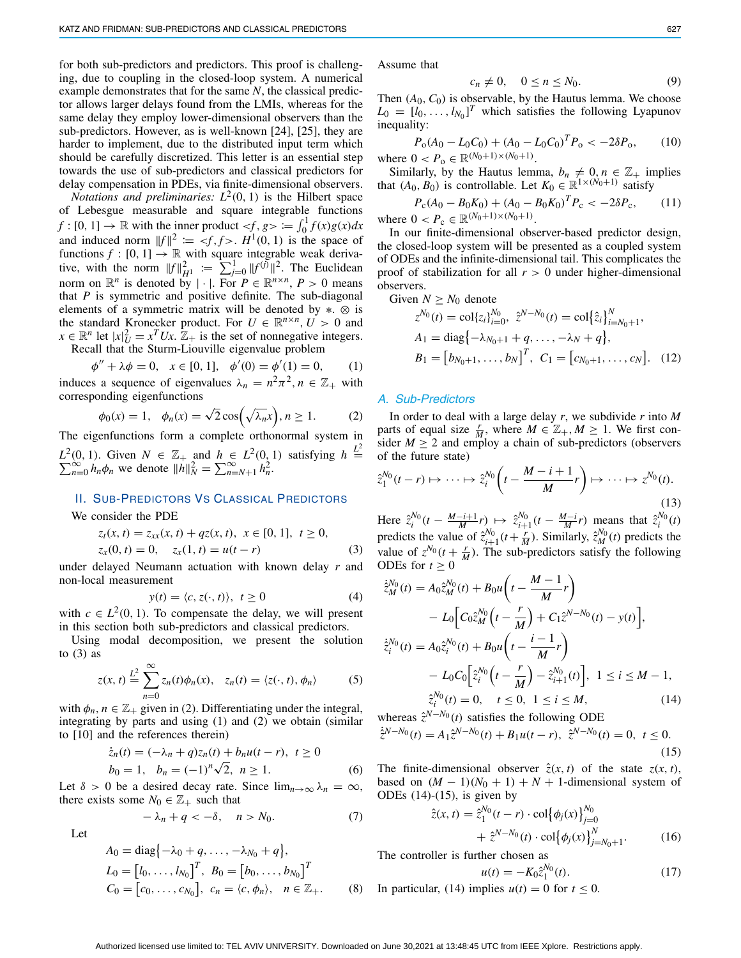for both sub-predictors and predictors. This proof is challenging, due to coupling in the closed-loop system. A numerical example demonstrates that for the same *N*, the classical predictor allows larger delays found from the LMIs, whereas for the same delay they employ lower-dimensional observers than the sub-predictors. However, as is well-known [\[24\]](#page-5-23), [\[25\]](#page-5-24), they are harder to implement, due to the distributed input term which should be carefully discretized. This letter is an essential step towards the use of sub-predictors and classical predictors for delay compensation in PDEs, via finite-dimensional observers.

*Notations and preliminaries:*  $L^2(0, 1)$  is the Hilbert space of Lebesgue measurable and square integrable functions  $f:[0, 1] \to \mathbb{R}$  with the inner product  $\lt f, g > \coloneqq \int_0^1 f(x)g(x)dx$ and induced norm  $||f||^2 := \langle f, f \rangle$ .  $H^1(0, 1)$  is the space of functions  $f : [0, 1] \rightarrow \mathbb{R}$  with square integrable weak derivative, with the norm  $||f||_{H_1}^2 := \sum_{j=0}^{1} ||f^{(j)}||^2$ . The Euclidean norm on  $\mathbb{R}^n$  is denoted by  $|\cdot|$ . For  $P \in \mathbb{R}^{n \times n}$ ,  $P > 0$  means that *P* is symmetric and positive definite. The sub-diagonal elements of a symmetric matrix will be denoted by ∗. ⊗ is the standard Kronecker product. For  $U \in \mathbb{R}^{n \times n}$ ,  $U > 0$  and  $x \in \mathbb{R}^n$  let  $|x|_U^2 = x^T U x$ .  $\mathbb{Z}_+$  is the set of nonnegative integers. Recall that the Sturm-Liouville eigenvalue problem

<span id="page-1-2"></span>
$$
\phi'' + \lambda \phi = 0, \quad x \in [0, 1], \quad \phi'(0) = \phi'(1) = 0,\tag{1}
$$

induces a sequence of eigenvalues  $\lambda_n = n^2 \pi^2$ ,  $n \in \mathbb{Z}_+$  with corresponding eigenfunctions

<span id="page-1-1"></span>
$$
\phi_0(x) = 1, \quad \phi_n(x) = \sqrt{2} \cos\left(\sqrt{\lambda_n}x\right), n \ge 1. \tag{2}
$$

The eigenfunctions form a complete orthonormal system in *L*<sup>2</sup>(0, 1). Given *N* ∈  $\mathbb{Z}_{+}$  and *h* ∈ *L*<sup>2</sup>(0, 1) satisfying *h*  $\stackrel{L^2}{=} \sum_{n=0}^{\infty} h_n \phi_n$  we denote  $||h||_N^2 = \sum_{n=N+1}^{\infty} h_n^2$ .

## II. SUB-PREDICTORS VS CLASSICAL PREDICTORS

We consider the PDE

<span id="page-1-0"></span>
$$
z_t(x, t) = z_{xx}(x, t) + qz(x, t), \quad x \in [0, 1], \quad t \ge 0,
$$
  

$$
z_x(0, t) = 0, \quad z_x(1, t) = u(t - r)
$$
 (3)

under delayed Neumann actuation with known delay *r* and non-local measurement

<span id="page-1-6"></span>
$$
y(t) = \langle c, z(\cdot, t) \rangle, \ t \ge 0 \tag{4}
$$

with  $c \in L^2(0, 1)$ . To compensate the delay, we will present in this section both sub-predictors and classical predictors.

Using modal decomposition, we present the solution to  $(3)$  as

$$
z(x, t) \stackrel{L^2}{=} \sum_{n=0}^{\infty} z_n(t)\phi_n(x), \quad z_n(t) = \langle z(\cdot, t), \phi_n \rangle \tag{5}
$$

with  $\phi_n$ ,  $n \in \mathbb{Z}_+$  given in [\(2\)](#page-1-1). Differentiating under the integral, integrating by parts and using [\(1\)](#page-1-2) and [\(2\)](#page-1-1) we obtain (similar to [\[10\]](#page-5-9) and the references therein)

<span id="page-1-8"></span>
$$
\dot{z}_n(t) = (-\lambda_n + q)z_n(t) + b_n u(t - r), \ t \ge 0
$$
  
\n
$$
b_0 = 1, \ b_n = (-1)^n \sqrt{2}, \ n \ge 1.
$$
 (6)

Let  $\delta > 0$  be a desired decay rate. Since  $\lim_{n \to \infty} \lambda_n = \infty$ , there exists some  $N_0 \in \mathbb{Z}_+$  such that

<span id="page-1-9"></span>
$$
-\lambda_n + q < -\delta, \quad n > N_0. \tag{7}
$$

Let

<span id="page-1-7"></span>
$$
A_0 = \text{diag}\{-\lambda_0 + q, \dots, -\lambda_{N_0} + q\},
$$
  
\n
$$
L_0 = [l_0, \dots, l_{N_0}]^T, B_0 = [b_0, \dots, b_{N_0}]^T
$$
  
\n
$$
C_0 = [c_0, \dots, c_{N_0}], c_n = \langle c, \phi_n \rangle, n \in \mathbb{Z}_+.
$$
 (8)

Assume that

<span id="page-1-10"></span>
$$
c_n \neq 0, \quad 0 \le n \le N_0. \tag{9}
$$

Then  $(A_0, C_0)$  is observable, by the Hautus lemma. We choose  $L_0 = [l_0, \ldots, l_{N_0}]^T$  which satisfies the following Lyapunov inequality:

<span id="page-1-11"></span>
$$
P_{o}(A_0 - L_0C_0) + (A_0 - L_0C_0)^T P_o < -2\delta P_o,\qquad(10)
$$
\nwhere  $0 < P_o \in \mathbb{R}^{(N_0 + 1) \times (N_0 + 1)}$ .

Similarly, by the Hautus lemma,  $b_n \neq 0, n \in \mathbb{Z}_+$  implies that  $(A_0, B_0)$  is controllable. Let  $K_0 \in \mathbb{R}^{1 \times (N_0+1)}$  satisfy

<span id="page-1-12"></span>
$$
P_{\rm c}(A_0 - B_0 K_0) + (A_0 - B_0 K_0)^T P_{\rm c} < -2\delta P_{\rm c},\tag{11}
$$
\nwhere  $0 < P_{\rm c} \in \mathbb{R}^{(N_0 + 1) \times (N_0 + 1)}$ .

In our finite-dimensional observer-based predictor design, the closed-loop system will be presented as a coupled system of ODEs and the infinite-dimensional tail. This complicates the proof of stabilization for all  $r > 0$  under higher-dimensional observers.

<span id="page-1-14"></span>Given 
$$
N \ge N_0
$$
 denote  
\n
$$
z^{N_0}(t) = \text{col}\{z_i\}_{i=0}^{N_0}, \ \hat{z}^{N-N_0}(t) = \text{col}\{\hat{z}_i\}_{i=N_0+1}^N,
$$
\n
$$
A_1 = \text{diag}\{-\lambda_{N_0+1} + q, \dots, -\lambda_N + q\},
$$
\n
$$
B_1 = [b_{N_0+1}, \dots, b_N]^T, \ C_1 = [c_{N_0+1}, \dots, c_N]. \tag{12}
$$

## *A. Sub-Predictors*

In order to deal with a large delay *r*, we subdivide *r* into *M* parts of equal size  $\frac{r}{M}$ , where  $M \in \mathbb{Z}_+$ ,  $M \geq 1$ . We first consider  $M \geq 2$  and employ a chain of sub-predictors (observers of the future state)

$$
\hat{z}_1^{N_0}(t-r) \mapsto \dots \mapsto \hat{z}_i^{N_0}\left(t - \frac{M-i+1}{M}r\right) \mapsto \dots \mapsto z^{N_0}(t).
$$
\n(13)

Here  $\hat{z}_i^{N_0}(t - \frac{M-i+1}{M}r) \mapsto \hat{z}_{i+1}^{N_0}(t - \frac{M-i}{M}r)$  means that  $\hat{z}_i^{N_0}(t)$ predicts the value of  $\hat{z}_{i+1}^{N_0}(t + \frac{r}{M})$ . Similarly,  $\hat{z}_M^{N_0}(t)$  predicts the value of  $z^{N_0}$  ( $t + \frac{r}{M}$ ). The sub-predictors satisfy the following ODEs for  $t \geq 0$ 

<span id="page-1-3"></span>
$$
\dot{\tilde{z}}_{M}^{N_0}(t) = A_0 \tilde{z}_{M}^{N_0}(t) + B_0 u \left( t - \frac{M-1}{M} r \right)
$$
  
\n
$$
- L_0 \left[ C_0 \tilde{z}_{M}^{N_0} \left( t - \frac{r}{M} \right) + C_1 \tilde{z}^{N-N_0}(t) - y(t) \right],
$$
  
\n
$$
\dot{\tilde{z}}_{i}^{N_0}(t) = A_0 \tilde{z}_{i}^{N_0}(t) + B_0 u \left( t - \frac{i-1}{M} r \right)
$$
  
\n
$$
- L_0 C_0 \left[ \tilde{z}_{i}^{N_0} \left( t - \frac{r}{M} \right) - \tilde{z}_{i+1}^{N_0}(t) \right], \ 1 \le i \le M - 1,
$$
  
\n
$$
\tilde{z}_{i}^{N_0}(t) = 0, \quad t \le 0, \ 1 \le i \le M,
$$
\n(14)

<span id="page-1-4"></span>whereas 
$$
\hat{z}^{N-N_0}(t)
$$
 satisfies the following ODE  
\n $\dot{z}^{N-N_0}(t) = A_1 \hat{z}^{N-N_0}(t) + B_1 u(t-r), \ \hat{z}^{N-N_0}(t) = 0, \ t \le 0.$  (15)

The finite-dimensional observer  $\hat{z}(x, t)$  of the state  $z(x, t)$ , based on  $(M - 1)(N_0 + 1) + N + 1$ -dimensional system of ODEs  $(14)-(15)$  $(14)-(15)$  $(14)-(15)$ , is given by

<span id="page-1-13"></span>
$$
\hat{z}(x, t) = \hat{z}_1^{N_0}(t - r) \cdot \text{col}\{\phi_j(x)\}_{j=0}^{N_0} \n+ \hat{z}^{N - N_0}(t) \cdot \text{col}\{\phi_j(x)\}_{j=N_0+1}^N.
$$
\n(16)

The controller is further chosen as

<span id="page-1-5"></span>
$$
= -K_0 \hat{z}_1^{N_0}(t). \tag{17}
$$

 $u(t)$ In particular, [\(14\)](#page-1-3) implies  $u(t) = 0$  for  $t \le 0$ .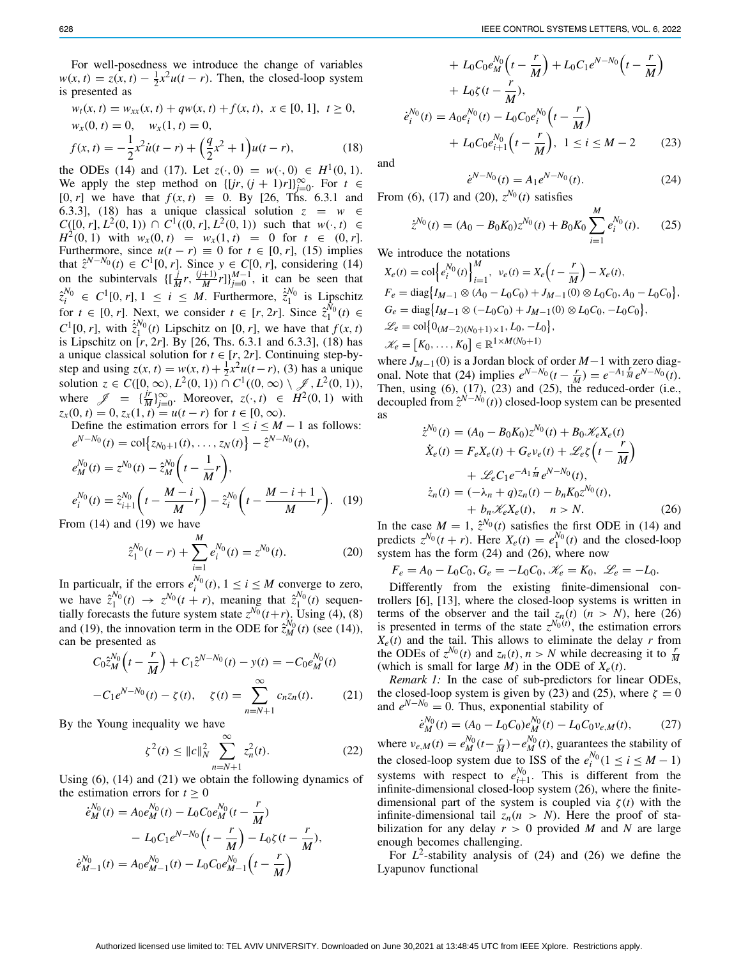For well-posedness we introduce the change of variables  $w(x, t) = z(x, t) - \frac{1}{2}x^2u(t - r)$ . Then, the closed-loop system is presented as

<span id="page-2-0"></span>
$$
w_t(x, t) = w_{xx}(x, t) + qw(x, t) + f(x, t), \ x \in [0, 1], \ t \ge 0,
$$
  
\n
$$
w_x(0, t) = 0, \quad w_x(1, t) = 0,
$$
  
\n
$$
f(x, t) = -\frac{1}{2}x^2\dot{u}(t - r) + \left(\frac{q}{2}x^2 + 1\right)u(t - r),
$$
\n(18)

the ODEs [\(14\)](#page-1-3) and [\(17\)](#page-1-5). Let  $z(\cdot, 0) = w(\cdot, 0) \in H^1(0, 1)$ . We apply the step method on  $\{[jr, (j + 1)r]\}_{j=0}^{\infty}$ . For  $t \in$  $[0, r]$  we have that  $f(x, t) = 0$ . By [\[26,](#page-5-25) Ths. 6.3.1 and 6.3.3], [\(18\)](#page-2-0) has a unique classical solution  $z = w \in$ *C*([0, *r*],  $L^2$ (0, 1)) ∩ *C*<sup>1</sup>((0, *r*],  $L^2$ (0, 1)) such that *w*(·, *t*) ∈ *H*<sup>2</sup>(0, 1) with  $w_x(0, t) = w_x(1, t) = 0$  for  $t \in (0, r]$ . Furthermore, since  $u(t - r) \equiv 0$  for  $t \in [0, r]$ , [\(15\)](#page-1-4) implies that  $\hat{z}^{N-N_0}(t) \in C^1[0, r]$ . Since *y* ∈ *C*[0, *r*], considering [\(14\)](#page-1-3) on the subintervals  $\{\left[\frac{j}{M}r, \frac{(j+1)}{M}r\right]\}_{j=0}^{M-1}$ , it can be seen that  $\hat{z}_i^{N_0} \in C^1[0, r], 1 \le i \le M$ . Furthermore,  $\dot{\hat{z}}_1^{N_0}$  is Lipschitz for  $t \in [0, r]$ . Next, we consider  $t \in [r, 2r]$ . Since  $\hat{z}_1^{N_0}(t) \in$  $C^1[0, r]$ , with  $\dot{z}_1^{N_0}(t)$  Lipschitz on  $[0, r]$ , we have that  $f(x, t)$ is Lipschitz on [*r*, 2*r*]. By [\[26,](#page-5-25) Ths. 6.3.1 and 6.3.3], [\(18\)](#page-2-0) has a unique classical solution for  $t \in [r, 2r]$ . Continuing step-bystep and using  $z(x, t) = w(x, t) + \frac{1}{2}x^2u(t - r)$ , [\(3\)](#page-1-0) has a unique solution *z* ∈ *C*([0, ∞), *L*<sup>2</sup>(0, 1)) ∩ *C*<sup>1</sup>((0, ∞) \  $\mathscr{J}, L^2(0, 1)$ ), where  $\mathscr{J} = {\frac{\{jr\}}{M}}_{j=0}^{\infty}$ . Moreover,  $z(\cdot, t) \in H^2(0, 1)$  with  $z_x(0, t) = 0, z_x(1, t) = u(t - r)$  for  $t \in [0, \infty)$ .

Define the estimation errors for  $1 \le i \le M - 1$  as follows:  $e^{N-N_0}(t) = \text{col}\left\{z_{N_0+1}(t), \ldots, z_N(t)\right\} - \hat{z}^{N-N_0}(t),$ 

<span id="page-2-1"></span>
$$
e_M^{N_0}(t) = z^{N_0}(t) - \hat{z}_M^{N_0}\left(t - \frac{1}{M}r\right),
$$
  
\n
$$
e_i^{N_0}(t) = \hat{z}_{i+1}^{N_0}\left(t - \frac{M - i}{M}r\right) - \hat{z}_i^{N_0}\left(t - \frac{M - i + 1}{M}r\right).
$$
 (19)  
\nfrom (14) and (19) we have

From [\(14\)](#page-1-3) and [\(19\)](#page-2-1) we have

<span id="page-2-3"></span>
$$
\hat{z}_1^{N_0}(t-r) + \sum_{i=1}^M e_i^{N_0}(t) = z^{N_0}(t). \tag{20}
$$

In particualr, if the errors  $e_i^{N_0}(t)$ ,  $1 \le i \le M$  converge to zero, we have  $\hat{z}_1^{N_0}(t) \rightarrow z^{N_0}(t+r)$ , meaning that  $\hat{z}_1^{N_0}(t)$  sequentially forecasts the future system state  $z^{N_0}(t+r)$ . Using [\(4\)](#page-1-6), [\(8\)](#page-1-7) and [\(19\)](#page-2-1), the innovation term in the ODE for  $\hat{z}^{N_0}_M(t)$  (see [\(14\)](#page-1-3)), can be presented as

<span id="page-2-2"></span>
$$
C_0 \hat{z}_M^{N_0} \left( t - \frac{r}{M} \right) + C_1 \hat{z}^{N - N_0}(t) - y(t) = -C_0 e_M^{N_0}(t)
$$

$$
-C_1 e^{N - N_0}(t) - \zeta(t), \quad \zeta(t) = \sum_{n = N + 1}^{\infty} c_n z_n(t). \tag{21}
$$

By the Young inequality we have

<span id="page-2-8"></span>
$$
\zeta^{2}(t) \leq ||c||_{N}^{2} \sum_{n=N+1}^{\infty} z_{n}^{2}(t). \tag{22}
$$

Using [\(6\)](#page-1-8), [\(14\)](#page-1-3) and [\(21\)](#page-2-2) we obtain the following dynamics of the estimation errors for  $t \geq 0$ 

<span id="page-2-5"></span>
$$
\dot{e}_{M}^{N_0}(t) = A_0 e_{M}^{N_0}(t) - L_0 C_0 e_{M}^{N_0}(t - \frac{r}{M})
$$

$$
- L_0 C_1 e^{N - N_0} \left(t - \frac{r}{M}\right) - L_0 \zeta(t - \frac{r}{M}),
$$

$$
\dot{e}_{M-1}^{N_0}(t) = A_0 e_{M-1}^{N_0}(t) - L_0 C_0 e_{M-1}^{N_0}\left(t - \frac{r}{M}\right)
$$

+ 
$$
L_0 C_0 e_M^{N_0} \left( t - \frac{r}{M} \right) + L_0 C_1 e^{N - N_0} \left( t - \frac{r}{M} \right)
$$
  
+  $L_0 \zeta (t - \frac{r}{M}),$   

$$
\dot{e}_i^{N_0}(t) = A_0 e_i^{N_0}(t) - L_0 C_0 e_i^{N_0} \left( t - \frac{r}{M} \right)
$$
  
+  $L_0 C_0 e_{i+1}^{N_0} \left( t - \frac{r}{M} \right), \quad 1 \le i \le M - 2$  (23)

and

<span id="page-2-4"></span>
$$
\dot{e}^{N-N_0}(t) = A_1 e^{N-N_0}(t). \tag{24}
$$

From [\(6\)](#page-1-8), [\(17\)](#page-1-5) and [\(20\)](#page-2-3),  $z^{N_0}(t)$  satisfies

<span id="page-2-6"></span>
$$
\dot{z}^{N_0}(t) = (A_0 - B_0 K_0) z^{N_0}(t) + B_0 K_0 \sum_{i=1}^{M} e_i^{N_0}(t). \tag{25}
$$

We introduce the notations

$$
X_e(t) = \text{col}\left\{e_i^{N_0}(t)\right\}_{i=1}^M, \quad v_e(t) = X_e\left(t - \frac{r}{M}\right) - X_e(t),
$$
\n
$$
F_e = \text{diag}\left\{I_{M-1} \otimes (A_0 - L_0C_0) + J_{M-1}(0) \otimes L_0C_0, A_0 - L_0C_0\right\},
$$
\n
$$
G_e = \text{diag}\left\{I_{M-1} \otimes (-L_0C_0) + J_{M-1}(0) \otimes L_0C_0, -L_0C_0\right\},
$$
\n
$$
\mathcal{L}_e = \text{col}\left\{0_{(M-2)(N_0+1)\times 1}, L_0, -L_0\right\},
$$
\n
$$
\mathcal{K}_e = \left[K_0, \ldots, K_0\right] \in \mathbb{R}^{1 \times M(N_0+1)}
$$

where  $J_{M-1}(0)$  is a Jordan block of order  $M-1$  with zero diag-onal. Note that [\(24\)](#page-2-4) implies  $e^{N-N_0}(t - \frac{r}{M}) = e^{-A_1} \frac{r}{M} e^{N-N_0}(t)$ . Then, using  $(6)$ ,  $(17)$ ,  $(23)$  and  $(25)$ , the reduced-order  $(i.e.,$ decoupled from  $\hat{z}^{N-N_0}(t)$  closed-loop system can be presented as

<span id="page-2-7"></span>
$$
\dot{z}^{N_0}(t) = (A_0 - B_0 K_0) z^{N_0}(t) + B_0 \mathscr{K}_e X_e(t)
$$
  
\n
$$
\dot{X}_e(t) = F_e X_e(t) + G_e \nu_e(t) + \mathscr{L}_e \zeta \left(t - \frac{r}{M}\right)
$$
  
\n
$$
+ \mathscr{L}_e C_1 e^{-A_1 \frac{r}{M}} e^{N - N_0}(t),
$$
  
\n
$$
\dot{z}_n(t) = (-\lambda_n + q) z_n(t) - b_n K_0 z^{N_0}(t),
$$
  
\n
$$
+ b_n \mathscr{K}_e X_e(t), \quad n > N.
$$
\n(26)

In the case  $M = 1$ ,  $\hat{z}^{N_0}(t)$  satisfies the first ODE in [\(14\)](#page-1-3) and predicts  $z^{N_0}(t + r)$ . Here  $X_e(t) = e_1^{N_0}(t)$  and the closed-loop system has the form [\(24\)](#page-2-4) and [\(26\)](#page-2-7), where now

 $F_e = A_0 - L_0 C_0, G_e = -L_0 C_0, \mathcal{K}_e = K_0, \mathcal{L}_e = -L_0.$ 

Differently from the existing finite-dimensional controllers [\[6\]](#page-5-5), [\[13\]](#page-5-12), where the closed-loop systems is written in terms of the observer and the tail  $z_n(t)$  ( $n > N$ ), here [\(26\)](#page-2-7) is presented in terms of the state  $z^{N_0(t)}$ , the estimation errors  $X_e(t)$  and the tail. This allows to eliminate the delay *r* from the ODEs of  $z^{N_0}(t)$  and  $z_n(t)$ ,  $n > N$  while decreasing it to  $\frac{r}{M}$ (which is small for large *M*) in the ODE of  $X_e(t)$ .

*Remark 1:* In the case of sub-predictors for linear ODEs, the closed-loop system is given by [\(23\)](#page-2-5) and [\(25\)](#page-2-6), where  $\zeta = 0$ and  $e^{N-N_0} = 0$ . Thus, exponential stability of

<span id="page-2-9"></span>
$$
\dot{e}_M^{N_0}(t) = (A_0 - L_0 C_0) e_M^{N_0}(t) - L_0 C_0 \nu_{e,M}(t),\tag{27}
$$

where  $v_{e,M}(t) = e_M^{N_0}(t - \frac{r}{M}) - e_M^{N_0}(t)$ , guarantees the stability of the closed-loop system due to ISS of the  $e_i^{N_0} (1 \le i \le M - 1)$ systems with respect to  $e_{i+1}^{N_0}$ . This is different from the infinite-dimensional closed-loop system [\(26\)](#page-2-7), where the finitedimensional part of the system is coupled via  $\zeta(t)$  with the infinite-dimensional tail  $z_n(n > N)$ . Here the proof of stabilization for any delay  $r > 0$  provided *M* and *N* are large enough becomes challenging.

For  $L^2$ -stability analysis of  $(24)$  and  $(26)$  we define the Lyapunov functional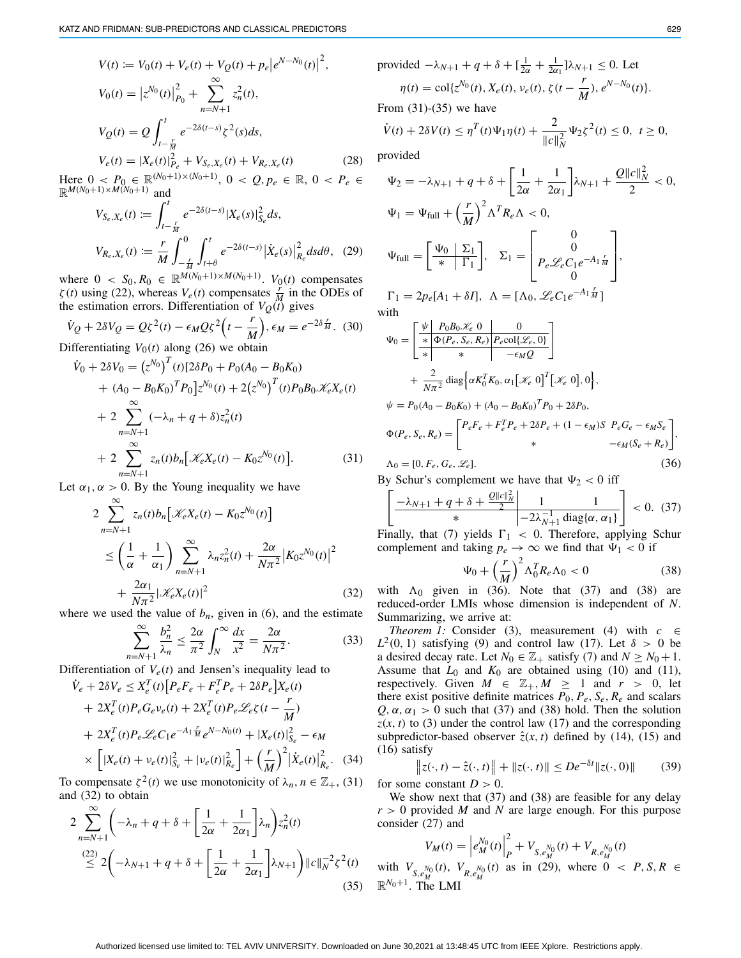<span id="page-3-7"></span>
$$
V(t) := V_0(t) + V_e(t) + V_Q(t) + p_e |e^{N - N_0}(t)|^2,
$$
  
\n
$$
V_0(t) = |z^{N_0}(t)|_{P_0}^2 + \sum_{n=N+1}^{\infty} z_n^2(t),
$$
  
\n
$$
V_Q(t) = Q \int_{t-\frac{r}{M}}^t e^{-2\delta(t-s)} \zeta^2(s) ds,
$$
  
\n
$$
V_e(t) = |X_e(t)|_{P_e}^2 + V_{S_e, X_e}(t) + V_{R_e, X_e}(t)
$$
 (28)

Here  $0 < P_0 \in \mathbb{R}^{(N_0+1)\times(N_0+1)}$ ,  $0 < Q, p_e \in \mathbb{R}$ ,  $0 < P_e \in$  $\mathbb{R}^{M(N_0+1)\times M(N_0+1)}$  and

<span id="page-3-6"></span>
$$
V_{S_e, X_e}(t) := \int_{t-\frac{r}{M}}^{t} e^{-2\delta(t-s)} |X_e(s)|_{S_e}^2 ds,
$$
  

$$
V_{R_e, X_e}(t) := \frac{r}{M} \int_{-\frac{r}{M}}^{0} \int_{t+\theta}^{t} e^{-2\delta(t-s)} |\dot{X}_e(s)|_{R_e}^2 ds d\theta, \quad (29)
$$

where  $0 < S_0, R_0 \in \mathbb{R}^{M(N_0+1) \times M(N_0+1)}$ .  $V_0(t)$  compensates  $\zeta(t)$  using [\(22\)](#page-2-8), whereas  $V_e(t)$  compensates  $\frac{r}{M}$  in the ODEs of the estimation errors. Differentiation of  $V_Q(t)$  gives

$$
\dot{V}_Q + 2\delta V_Q = Q\xi^2(t) - \epsilon_M Q\xi^2 \left(t - \frac{r}{M}\right), \epsilon_M = e^{-2\delta \frac{r}{M}}.
$$
 (30)

Differentiating  $V_0(t)$  along [\(26\)](#page-2-7) we obtain

<span id="page-3-0"></span>
$$
\dot{V}_0 + 2\delta V_0 = (z^{N_0})^T (t) [2\delta P_0 + P_0 (A_0 - B_0 K_0)
$$
  
+  $(A_0 - B_0 K_0)^T P_0] z^{N_0} (t) + 2 (z^{N_0})^T (t) P_0 B_0 \mathcal{K}_e X_e(t)$   
+  $2 \sum_{n=N+1}^{\infty} (-\lambda_n + q + \delta) z_n^2 (t)$   
+  $2 \sum_{n=N+1}^{\infty} z_n (t) b_n [\mathcal{K}_e X_e(t) - K_0 z^{N_0}(t)].$  (31)

Let  $\alpha_1, \alpha > 0$ . By the Young inequality we have

<span id="page-3-1"></span>
$$
2\sum_{n=N+1}^{\infty} z_n(t) b_n \left[ \mathcal{K}_e X_e(t) - K_0 z^{N_0}(t) \right]
$$
  
\n
$$
\leq \left( \frac{1}{\alpha} + \frac{1}{\alpha_1} \right) \sum_{n=N+1}^{\infty} \lambda_n z_n^2(t) + \frac{2\alpha}{N\pi^2} \left| K_0 z^{N_0}(t) \right|^2
$$
  
\n
$$
+ \frac{2\alpha_1}{N\pi^2} |\mathcal{K}_e X_e(t)|^2
$$
(32)

where we used the value of  $b_n$ , given in [\(6\)](#page-1-8), and the estimate

$$
\sum_{n=N+1}^{\infty} \frac{b_n^2}{\lambda_n} \le \frac{2\alpha}{\pi^2} \int_N^{\infty} \frac{dx}{x^2} = \frac{2\alpha}{N\pi^2}.
$$
 (33)

Differentiation of  $V_e(t)$  and Jensen's inequality lead to

$$
\dot{V}_e + 2\delta V_e \le X_e^T(t) \Big[ P_e F_e + F_e^T P_e + 2\delta P_e \Big] X_e(t)
$$
  
+  $2X_e^T(t) P_e G_e v_e(t) + 2X_e^T(t) P_e \mathcal{L}_e \zeta(t - \frac{r}{M})$   
+  $2X_e^T(t) P_e \mathcal{L}_e C_1 e^{-A_1 \frac{r}{M}} e^{N - N_0(t)} + |X_e(t)|_{S_e}^2 - \epsilon_M$   
×  $\Big[ |X_e(t) + v_e(t)|_{S_e}^2 + |v_e(t)|_{R_e}^2 \Big] + \Big(\frac{r}{M}\Big)^2 \Big| \dot{X}_e(t) \Big|_{R_e}^2. \quad (34)$   
componentsate  $\mathcal{E}^2(t)$  we use monotonicity of  $\lambda$ ,  $n \in \mathbb{Z}$ . (31)

To compensate  $\zeta^2(t)$  we use monotonicity of  $\lambda_n, n \in \mathbb{Z}_+$ , [\(31\)](#page-3-0) and [\(32\)](#page-3-1) to obtain

<span id="page-3-2"></span>
$$
2\sum_{n=N+1}^{\infty} \left(-\lambda_n + q + \delta + \left[\frac{1}{2\alpha} + \frac{1}{2\alpha_1}\right] \lambda_n\right) z_n^2(t)
$$
  
\n
$$
\stackrel{(22)}{\leq} 2\left(-\lambda_{N+1} + q + \delta + \left[\frac{1}{2\alpha} + \frac{1}{2\alpha_1}\right] \lambda_{N+1}\right) ||c||_N^{-2} \zeta^2(t)
$$
  
\n(35)

provided 
$$
-\lambda_{N+1} + q + \delta + \left[\frac{1}{2\alpha} + \frac{1}{2\alpha}\right] \lambda_{N+1} \le 0
$$
. Let  
\n
$$
\eta(t) = \text{col}\{z^{N_0}(t), X_e(t), v_e(t), \zeta(t - \frac{r}{M}), e^{N - N_0}(t)\}.
$$
\nFrom (31)-(35) we have  
\n
$$
\dot{V}(t) + 2\delta V(t) \le \eta^T(t)\Psi_1\eta(t) + \frac{2}{\|c\|_N^2}\Psi_2\zeta^2(t) \le 0, t \ge 0,
$$

provided

$$
\Psi_2 = -\lambda_{N+1} + q + \delta + \left[\frac{1}{2\alpha} + \frac{1}{2\alpha_1}\right]\lambda_{N+1} + \frac{Q||c||_N^2}{2} < 0,
$$
  
\n
$$
\Psi_1 = \Psi_{\text{full}} + \left(\frac{r}{M}\right)^2 \Lambda^T R_e \Lambda < 0,
$$
  
\n
$$
\Psi_{\text{full}} = \left[\frac{\Psi_0}{*} \left| \frac{\Sigma_1}{\Gamma_1} \right|, \Sigma_1 = \begin{bmatrix} 0 \\ p_e \mathcal{L}_e C_1 e^{-A_1 \frac{r}{M}} \\ 0 \end{bmatrix},
$$
  
\n
$$
\Gamma_1 = 2p_e[A_1 + \delta I], \Lambda = [\Lambda_0, \mathcal{L}_e C_1 e^{-A_1 \frac{r}{M}}]
$$
  
\nwith  
\n
$$
\Psi_0 = \left[\frac{\Psi}{*} \frac{P_0 B_0 \mathcal{K}_e}{*} \frac{0}{*} \frac{0}{R_e \Omega_1 \mathcal{L}_e \Omega_2 \Omega_1 \mathcal{L}_e}} - \frac{0}{\epsilon_M Q}\right] + \frac{2}{N\pi^2} \text{diag}\left\{\alpha K_0^T K_0, \alpha_1 [\mathcal{K}_e \ 0]^T [\mathcal{K}_e \ 0], 0\right\},
$$

<span id="page-3-3"></span>
$$
\psi = P_0(A_0 - B_0 K_0) + (A_0 - B_0 K_0)^T P_0 + 2\delta P_0,
$$
  
\n
$$
\Phi(P_e, S_e, R_e) = \begin{bmatrix} P_e F_e + F_e^T P_e + 2\delta P_e + (1 - \epsilon_M) S & P_e G_e - \epsilon_M S_e \\ * & -\epsilon_M (S_e + R_e) \end{bmatrix},
$$
  
\n
$$
\Lambda_0 = [0, F_e, G_e, \mathcal{L}_e].
$$
\n(36)

By Schur's complement we have that  $\Psi_2 < 0$  iff

<span id="page-3-4"></span>
$$
\left[\frac{-\lambda_{N+1} + q + \delta + \frac{Q||c||_N^2}{2}}{\ast} \middle| \frac{1}{-2\lambda_{N+1}^{-1} \text{ diag}\{\alpha, \alpha_1\}}\right] < 0. \tag{37}
$$

Finally, that [\(7\)](#page-1-9) yields  $\Gamma_1$  < 0. Therefore, applying Schur complement and taking  $p_e \to \infty$  we find that  $\Psi_1 < 0$  if

<span id="page-3-5"></span>
$$
\Psi_0 + \left(\frac{r}{M}\right)^2 \Lambda_0^T R_e \Lambda_0 < 0 \tag{38}
$$

with  $\Lambda_0$  given in [\(36\)](#page-3-3). Note that [\(37\)](#page-3-4) and [\(38\)](#page-3-5) are reduced-order LMIs whose dimension is independent of *N*. Summarizing, we arrive at:

<span id="page-3-9"></span>*Theorem 1:* Consider [\(3\)](#page-1-0), measurement [\(4\)](#page-1-6) with  $c \in$  $L^2(0, 1)$  satisfying [\(9\)](#page-1-10) and control law [\(17\)](#page-1-5). Let  $\delta > 0$  be a desired decay rate. Let  $N_0 \in \mathbb{Z}_+$  satisfy [\(7\)](#page-1-9) and  $N \ge N_0 + 1$ . Assume that  $L_0$  and  $K_0$  are obtained using [\(10\)](#page-1-11) and [\(11\)](#page-1-12), respectively. Given  $M \in \mathbb{Z}_+, M \geq 1$  and  $r > 0$ , let there exist positive definite matrices  $P_0$ ,  $P_e$ ,  $S_e$ ,  $R_e$  and scalars  $Q, \alpha, \alpha_1 > 0$  such that [\(37\)](#page-3-4) and [\(38\)](#page-3-5) hold. Then the solution  $z(x, t)$  to [\(3\)](#page-1-0) under the control law [\(17\)](#page-1-5) and the corresponding subpredictor-based observer  $\hat{z}(x, t)$  defined by [\(14\)](#page-1-3), [\(15\)](#page-1-4) and [\(16\)](#page-1-13) satisfy

<span id="page-3-8"></span>
$$
\|z(\cdot,t) - \hat{z}(\cdot,t)\| + \|z(\cdot,t)\| \le De^{-\delta t} \|z(\cdot,0)\| \tag{39}
$$

for some constant  $D > 0$ .

We show next that [\(37\)](#page-3-4) and [\(38\)](#page-3-5) are feasible for any delay  $r > 0$  provided *M* and *N* are large enough. For this purpose consider [\(27\)](#page-2-9) and

$$
V_M(t) = \left| e_M^{N_0}(t) \right|_P^2 + V_{S, e_M^{N_0}}(t) + V_{R, e_M^{N_0}}(t)
$$

with  $V_{S, e_M^{N_0}}(t)$ ,  $V_{R, e_M^{N_0}}(t)$  as in [\(29\)](#page-3-6), where  $0 \lt P, S, R \in$  $\mathbb{R}^{N_0+1}$ . The LMI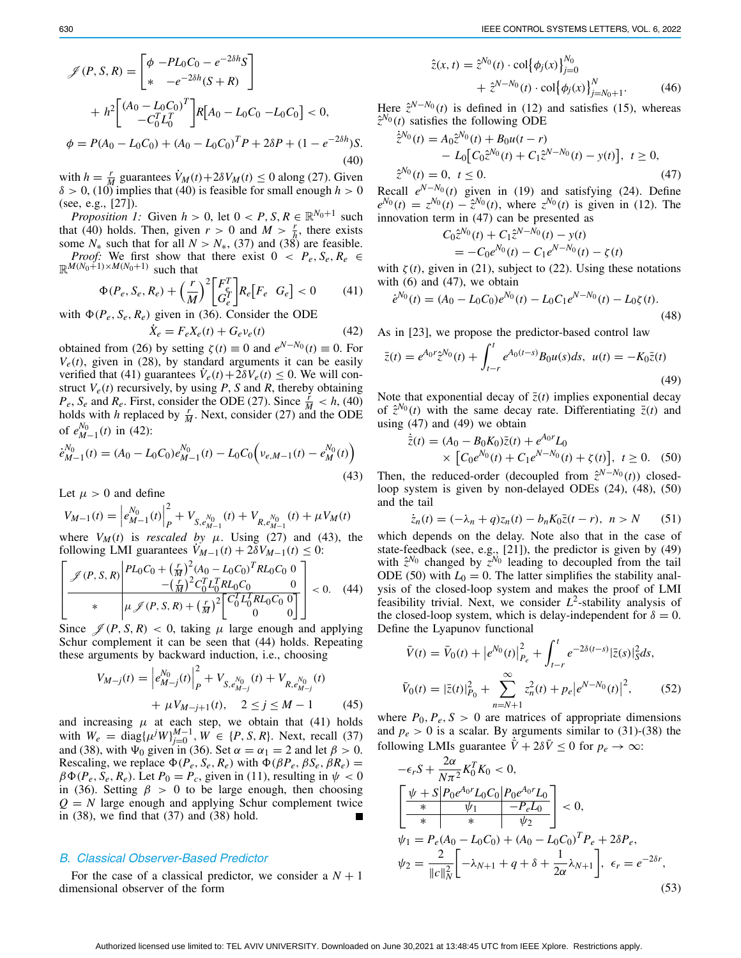<span id="page-4-0"></span>with  $h = \frac{r}{M}$  guarantees  $V_M(t) + 2\delta V_M(t) \le 0$  along [\(27\)](#page-2-9). Given  $\delta > 0$ , [\(10\)](#page-1-11) implies that [\(40\)](#page-4-0) is feasible for small enough  $h > 0$ (see, e.g., [\[27\]](#page-5-26)).

*Proposition 1:* Given  $h > 0$ , let  $0 < P$ ,  $S, R \in \mathbb{R}^{N_0+1}$  such that [\(40\)](#page-4-0) holds. Then, given  $r > 0$  and  $M > \frac{r}{h}$ , there exists some  $N_*$  such that for all  $N > N_*$ , [\(37\)](#page-3-4) and [\(38\)](#page-3-5) are feasible. *Proof:* We first show that there exist  $0 < P_e$ ,  $S_e$ ,  $R_e \in$ 

<span id="page-4-1"></span>
$$
\mathbb{R}^{M(N_0+1)\times M(N_0+1)} \text{ such that}
$$
  
\n
$$
\Phi(P_e, S_e, R_e) + \left(\frac{r}{M}\right)^2 \begin{bmatrix} F_e^T \\ G_e^T \end{bmatrix} R_e \begin{bmatrix} F_e & G_e \end{bmatrix} < 0 \tag{41}
$$

with  $\Phi(P_e, S_e, R_e)$  given in [\(36\)](#page-3-3). Consider the ODE

<span id="page-4-2"></span>
$$
\dot{X}_e = F_e X_e(t) + G_e v_e(t)
$$
\n(42)

obtained from [\(26\)](#page-2-7) by setting  $\zeta(t) \equiv 0$  and  $e^{N-N_0}(t) \equiv 0$ . For  $V_e(t)$ , given in [\(28\)](#page-3-7), by standard arguments it can be easily verified that [\(41\)](#page-4-1) guarantees  $\dot{V}_e(t) + 2\delta V_e(t) \leq 0$ . We will construct  $V_e(t)$  recursively, by using *P*, *S* and *R*, thereby obtaining  $P_e$ ,  $S_e$  and  $R_e$ . First, consider the ODE [\(27\)](#page-2-9). Since  $\frac{r}{M} < h$ , [\(40\)](#page-4-0) holds with *h* replaced by  $\frac{r}{M}$ . Next, consider [\(27\)](#page-2-9) and the ODE of  $e_{M-1}^{N_0}(t)$  in [\(42\)](#page-4-2):

<span id="page-4-3"></span>
$$
\dot{e}_{M-1}^{N_0}(t) = (A_0 - L_0 C_0) e_{M-1}^{N_0}(t) - L_0 C_0 \left( v_{e,M-1}(t) - e_M^{N_0}(t) \right)
$$
\n(43)

Let  $\mu > 0$  and define

$$
V_{M-1}(t) = \left| e_{M-1}^{N_0}(t) \right|_P^2 + V_{S, e_{M-1}^{N_0}}(t) + V_{R, e_{M-1}^{N_0}}(t) + \mu V_M(t)
$$

where  $V_M(t)$  is *rescaled by*  $\mu$ . Using [\(27\)](#page-2-9) and [\(43\)](#page-4-3), the following LMI guarantees  $\dot{V}_{M-1}(t) + 2\delta V_{M-1}(t) \leq 0$ :

<span id="page-4-4"></span>
$$
\left[\frac{\mathcal{J}(P, S, R)}{\mathcal{J}(P, S, R)} \frac{PL_0C_0 + \left(\frac{r}{M}\right)^2 (A_0 - L_0C_0)^T RL_0C_0}{-\left(\frac{r}{M}\right)^2 C_0^T L_0^T RL_0C_0} \frac{0}{\left(\frac{r}{M}\right)^2} \right] < 0. \quad (44)
$$

Since  $\mathcal{J}(P, S, R) < 0$ , taking  $\mu$  large enough and applying Schur complement it can be seen that [\(44\)](#page-4-4) holds. Repeating these arguments by backward induction, i.e., choosing

$$
V_{M-j}(t) = \left| e_{M-j}^{N_0}(t) \right|_P^2 + V_{S, e_{M-j}^{N_0}}(t) + V_{R, e_{M-j}^{N_0}}(t)
$$
  
+  $\mu V_{M-j+1}(t), \quad 2 \le j \le M - 1$  (45)

and increasing  $\mu$  at each step, we obtain that [\(41\)](#page-4-1) holds with  $W_e = \text{diag}\{\mu^j W\}_{j=0}^{M-1}, W \in \{P, S, R\}$ . Next, recall [\(37\)](#page-3-4) and [\(38\)](#page-3-5), with  $\Psi_0$  given in [\(36\)](#page-3-3). Set  $\alpha = \alpha_1 = 2$  and let  $\beta > 0$ . Rescaling, we replace  $\Phi(P_e, S_e, R_e)$  with  $\Phi(\beta P_e, \beta S_e, \beta R_e)$  =  $\beta \Phi(P_e, S_e, R_e)$ . Let  $P_0 = P_c$ , given in [\(11\)](#page-1-12), resulting in  $\psi < 0$ in [\(36\)](#page-3-3). Setting  $\beta > 0$  to be large enough, then choosing  $Q = N$  large enough and applying Schur complement twice in [\(38\)](#page-3-5), we find that [\(37\)](#page-3-4) and [\(38\)](#page-3-5) hold.

## *B. Classical Observer-Based Predictor*

For the case of a classical predictor, we consider a  $N + 1$ dimensional observer of the form

<span id="page-4-10"></span>
$$
\hat{z}(x, t) = \hat{z}^{N_0}(t) \cdot \text{col}\{\phi_j(x)\}_{j=0}^{N_0} + \hat{z}^{N-N_0}(t) \cdot \text{col}\{\phi_j(x)\}_{j=N_0+1}^N.
$$
\n(46)

Here  $\hat{z}^{N-N_0}(t)$  is defined in [\(12\)](#page-1-14) and satisfies [\(15\)](#page-1-4), whereas  $\hat{z}^{N_0}(t)$  satisfies the following ODE

<span id="page-4-5"></span>
$$
\dot{\tilde{z}}^{N_0}(t) = A_0 \hat{z}^{N_0}(t) + B_0 u(t - r) \n- L_0 [C_0 \hat{z}^{N_0}(t) + C_1 \hat{z}^{N - N_0}(t) - y(t)], \ t \ge 0, \n\hat{z}^{N_0}(t) = 0, \ t \le 0.
$$
\n(47)

Recall  $e^{N-N_0}(t)$  given in [\(19\)](#page-2-1) and satisfying [\(24\)](#page-2-4). Define  $e^{N_0}(t) = z^{N_0}(t) - \hat{z}^{N_0}(t)$ , where  $z^{N_0}(t)$  is given in [\(12\)](#page-1-14). The innovation term in [\(47\)](#page-4-5) can be presented as

$$
C_0 \hat{z}^{N_0}(t) + C_1 \hat{z}^{N-N_0}(t) - y(t)
$$
  
= -C\_0 e^{N\_0}(t) - C\_1 e^{N-N\_0}(t) - \zeta(t)

with  $\zeta(t)$ , given in [\(21\)](#page-2-2), subject to [\(22\)](#page-2-8). Using these notations with  $(6)$  and  $(47)$ , we obtain

<span id="page-4-7"></span>
$$
\dot{e}^{N_0}(t) = (A_0 - L_0 C_0) e^{N_0}(t) - L_0 C_1 e^{N - N_0}(t) - L_0 \zeta(t). \tag{48}
$$

As in [\[23\]](#page-5-22), we propose the predictor-based control law

<span id="page-4-6"></span>
$$
\bar{z}(t) = e^{A_0 r} \hat{z}^{N_0}(t) + \int_{t-r}^t e^{A_0(t-s)} B_0 u(s) ds, \ u(t) = -K_0 \bar{z}(t)
$$
\n(49)

Note that exponential decay of  $\overline{z}(t)$  implies exponential decay of  $\hat{z}^{N_0}(t)$  with the same decay rate. Differentiating  $\bar{z}(t)$  and using [\(47\)](#page-4-5) and [\(49\)](#page-4-6) we obtain

<span id="page-4-8"></span>
$$
\dot{\bar{z}}(t) = (A_0 - B_0 K_0) \bar{z}(t) + e^{A_0 r} L_0
$$
  
×  $\left[C_0 e^{N_0}(t) + C_1 e^{N - N_0}(t) + \zeta(t)\right], t \ge 0.$  (50)

Then, the reduced-order (decoupled from  $\hat{z}^{N-N_0}(t)$ ) closedloop system is given by non-delayed ODEs [\(24\)](#page-2-4), [\(48\)](#page-4-7), [\(50\)](#page-4-8) and the tail

$$
\dot{z}_n(t) = (-\lambda_n + q)z_n(t) - b_n K_0 \bar{z}(t - r), \ n > N \qquad (51)
$$

which depends on the delay. Note also that in the case of state-feedback (see, e.g., [\[21\]](#page-5-20)), the predictor is given by [\(49\)](#page-4-6) with  $\hat{z}^{N_0}$  changed by  $\bar{z}^{N_0}$  leading to decoupled from the tail ODE [\(50\)](#page-4-8) with  $L_0 = 0$ . The latter simplifies the stability analysis of the closed-loop system and makes the proof of LMI feasibility trivial. Next, we consider  $L^2$ -stability analysis of the closed-loop system, which is delay-independent for  $\delta = 0$ . Define the Lyapunov functional

$$
\bar{V}(t) = \bar{V}_0(t) + \left| e^{N_0}(t) \right|_{P_e}^2 + \int_{t-r}^t e^{-2\delta(t-s)} |\bar{z}(s)|_S^2 ds,
$$
  

$$
\bar{V}_0(t) = |\bar{z}(t)|_{P_0}^2 + \sum_{n=N+1}^{\infty} z_n^2(t) + p_e \left| e^{N-N_0}(t) \right|^2,
$$
(52)

where  $P_0$ ,  $P_e$ ,  $S > 0$  are matrices of appropriate dimensions and  $p_e > 0$  is a scalar. By arguments similar to [\(31\)](#page-3-0)-[\(38\)](#page-3-5) the following LMIs guarantee  $\overrightarrow{V}$  + 2 $\delta \overrightarrow{V}$   $\leq$  0 for  $p_e \rightarrow \infty$ :

<span id="page-4-9"></span>
$$
-\epsilon_r S + \frac{2\alpha}{N\pi^2} K_0^T K_0 < 0,
$$
  

$$
\left[\frac{\psi + S \left| P_0 e^{A_0 r} L_0 C_0 \right| P_0 e^{A_0 r} L_0}{\ast} \right] < 0,
$$
  

$$
\psi_1 = P_e (A_0 - L_0 C_0) + (A_0 - L_0 C_0)^T P_e + 2\delta P_e,
$$
  

$$
\psi_2 = \frac{2}{\|c\|_N^2} \left[ -\lambda_{N+1} + q + \delta + \frac{1}{2\alpha} \lambda_{N+1} \right], \epsilon_r = e^{-2\delta r},
$$
  
(53)